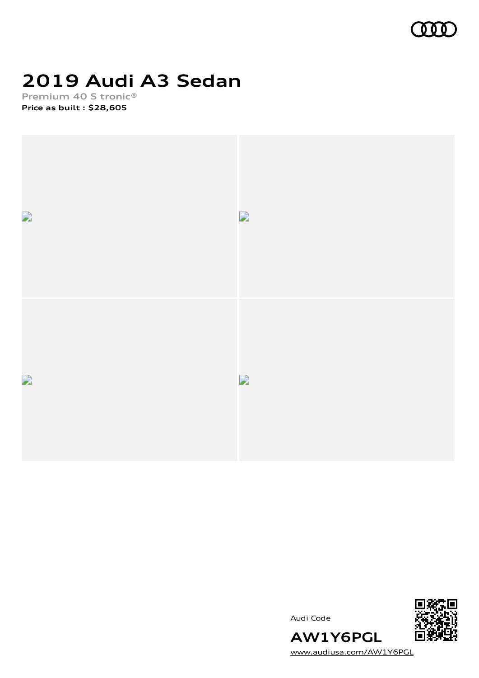

## **2019 Audi A3 Sedan**

**Premium 40 S tronic® Price as built [:](#page-10-0) \$28,605**







[www.audiusa.com/AW1Y6PGL](https://www.audiusa.com/AW1Y6PGL)

**AW1Y6PGL**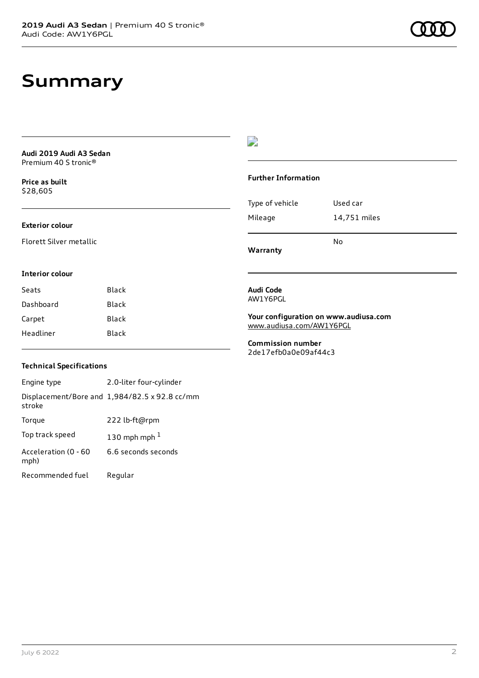### **Summary**

**Audi 2019 Audi A3 Sedan** Premium 40 S tronic®

**Price as buil[t](#page-10-0)** \$28,605

#### **Exterior colour**

Florett Silver metallic

### **Interior colour**

| Seats     | Black |
|-----------|-------|
| Dashboard | Black |
| Carpet    | Black |
| Headliner | Black |

### $\overline{\phantom{a}}$

#### **Further Information**

|                 | N٥           |
|-----------------|--------------|
| Mileage         | 14,751 miles |
| Type of vehicle | Used car     |

**Warranty**

#### **Audi Code** AW1Y6PGL

**Your configuration on www.audiusa.com** [www.audiusa.com/AW1Y6PGL](https://www.audiusa.com/AW1Y6PGL)

**Commission number** 2de17efb0a0e09af44c3

### **Technical Specifications**

| Engine type                  | 2.0-liter four-cylinder                       |
|------------------------------|-----------------------------------------------|
| stroke                       | Displacement/Bore and 1,984/82.5 x 92.8 cc/mm |
| Torque                       | 222 lb-ft@rpm                                 |
| Top track speed              | 130 mph mph $1$                               |
| Acceleration (0 - 60<br>mph) | 6.6 seconds seconds                           |
| Recommended fuel             | Regular                                       |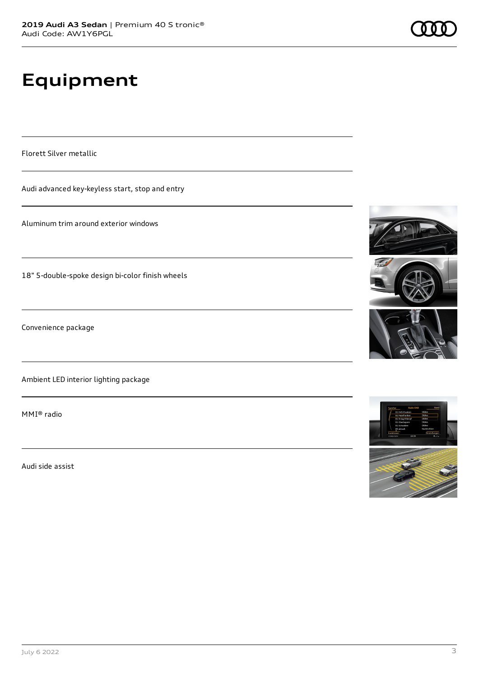# **Equipment**

Florett Silver metallic

Audi advanced key-keyless start, stop and entry

Aluminum trim around exterior windows

18" 5-double-spoke design bi-color finish wheels

Convenience package

Ambient LED interior lighting package

MMI® radio

Audi side assist









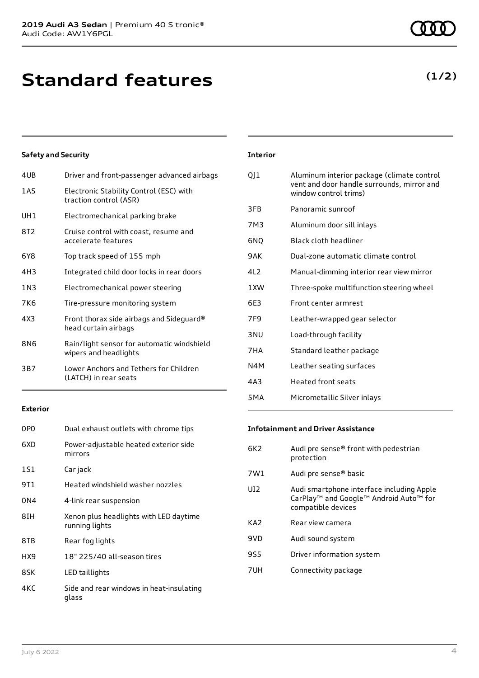**Standard features**

### **Safety and Security**

| 4UB | Driver and front-passenger advanced airbags                         |
|-----|---------------------------------------------------------------------|
| 1AS | Electronic Stability Control (ESC) with<br>traction control (ASR)   |
| UH1 | Electromechanical parking brake                                     |
| 8T2 | Cruise control with coast, resume and<br>accelerate features        |
| 6Y8 | Top track speed of 155 mph                                          |
| 4H3 | Integrated child door locks in rear doors                           |
| 1N3 | Electromechanical power steering                                    |
| 7K6 | Tire-pressure monitoring system                                     |
| 4X3 | Front thorax side airbags and Sideguard®<br>head curtain airbags    |
| 8N6 | Rain/light sensor for automatic windshield<br>wipers and headlights |
| 3B7 | Lower Anchors and Tethers for Children<br>(LATCH) in rear seats     |
|     |                                                                     |

### **Exterior**

| 0PO  | Dual exhaust outlets with chrome tips                    |
|------|----------------------------------------------------------|
| 6XD  | Power-adjustable heated exterior side<br>mirrors         |
| 1S1  | Car jack                                                 |
| 9T 1 | Heated windshield washer nozzles                         |
| 0N4  | 4-link rear suspension                                   |
| 8IH  | Xenon plus headlights with LED daytime<br>running lights |
| 8TB  | Rear fog lights                                          |
| HX9  | 18" 225/40 all-season tires                              |
| 8SK  | LED taillights                                           |
| 4KC  | Side and rear windows in heat-insulating<br>glass        |

### **Interior**

| QJ1              | Aluminum interior package (climate control<br>vent and door handle surrounds, mirror and<br>window control trims) |
|------------------|-------------------------------------------------------------------------------------------------------------------|
| 3FB              | Panoramic sunroof                                                                                                 |
| 7M3              | Aluminum door sill inlays                                                                                         |
| 6NO              | Black cloth headliner                                                                                             |
| 9AK              | Dual-zone automatic climate control                                                                               |
| 412              | Manual-dimming interior rear view mirror                                                                          |
| 1 XW             | Three-spoke multifunction steering wheel                                                                          |
| 6E3              | Front center armrest                                                                                              |
| 7F9              | Leather-wrapped gear selector                                                                                     |
| 3 <sub>NU</sub>  | Load-through facility                                                                                             |
| 7HA              | Standard leather package                                                                                          |
| N4M              | Leather seating surfaces                                                                                          |
| 4A3              | <b>Heated front seats</b>                                                                                         |
| 5 <sub>M</sub> A | Micrometallic Silver inlays                                                                                       |

#### **Infotainment and Driver Assistance**

| 6K2             | Audi pre sense® front with pedestrian<br>protection                                                                   |
|-----------------|-----------------------------------------------------------------------------------------------------------------------|
| 7W1             | Audi pre sense® basic                                                                                                 |
| UD <sub>2</sub> | Audi smartphone interface including Apple<br>CarPlay <sup>™</sup> and Google™ Android Auto™ for<br>compatible devices |
| KA <sub>2</sub> | Rear view camera                                                                                                      |
| 9VD             | Audi sound system                                                                                                     |
| 9S5             | Driver information system                                                                                             |
| 7UH             | Connectivity package                                                                                                  |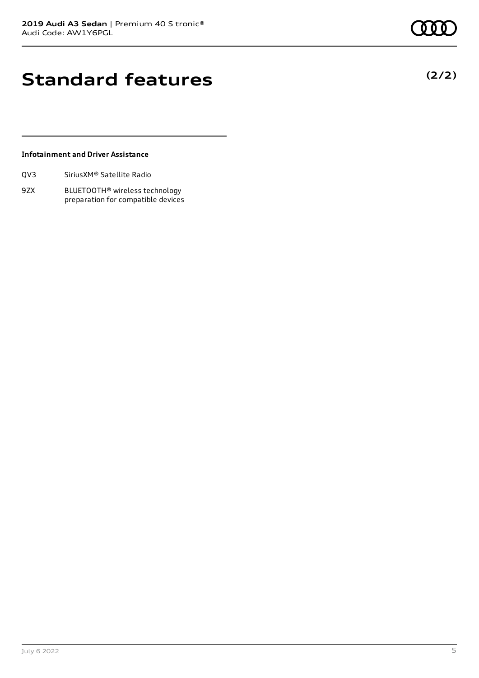**(2/2)**

### **Standard features**

### **Infotainment and Driver Assistance**

9ZX BLUETOOTH® wireless technology preparation for compatible devices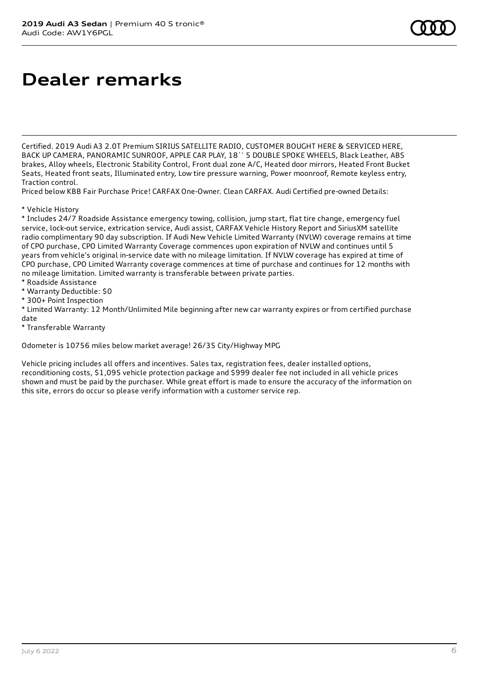### **Dealer remarks**

Certified. 2019 Audi A3 2.0T Premium SIRIUS SATELLITE RADIO, CUSTOMER BOUGHT HERE & SERVICED HERE, BACK UP CAMERA, PANORAMIC SUNROOF, APPLE CAR PLAY, 18`` 5 DOUBLE SPOKE WHEELS, Black Leather, ABS brakes, Alloy wheels, Electronic Stability Control, Front dual zone A/C, Heated door mirrors, Heated Front Bucket Seats, Heated front seats, Illuminated entry, Low tire pressure warning, Power moonroof, Remote keyless entry, Traction control.

Priced below KBB Fair Purchase Price! CARFAX One-Owner. Clean CARFAX. Audi Certified pre-owned Details:

\* Vehicle History

\* Includes 24/7 Roadside Assistance emergency towing, collision, jump start, flat tire change, emergency fuel service, lock-out service, extrication service, Audi assist, CARFAX Vehicle History Report and SiriusXM satellite radio complimentary 90 day subscription. If Audi New Vehicle Limited Warranty (NVLW) coverage remains at time of CPO purchase, CPO Limited Warranty Coverage commences upon expiration of NVLW and continues until 5 years from vehicle's original in-service date with no mileage limitation. If NVLW coverage has expired at time of CPO purchase, CPO Limited Warranty coverage commences at time of purchase and continues for 12 months with no mileage limitation. Limited warranty is transferable between private parties.

- \* Roadside Assistance
- \* Warranty Deductible: \$0
- \* 300+ Point Inspection

\* Limited Warranty: 12 Month/Unlimited Mile beginning after new car warranty expires or from certified purchase date

\* Transferable Warranty

Odometer is 10756 miles below market average! 26/35 City/Highway MPG

Vehicle pricing includes all offers and incentives. Sales tax, registration fees, dealer installed options, reconditioning costs, \$1,095 vehicle protection package and \$999 dealer fee not included in all vehicle prices shown and must be paid by the purchaser. While great effort is made to ensure the accuracy of the information on this site, errors do occur so please verify information with a customer service rep.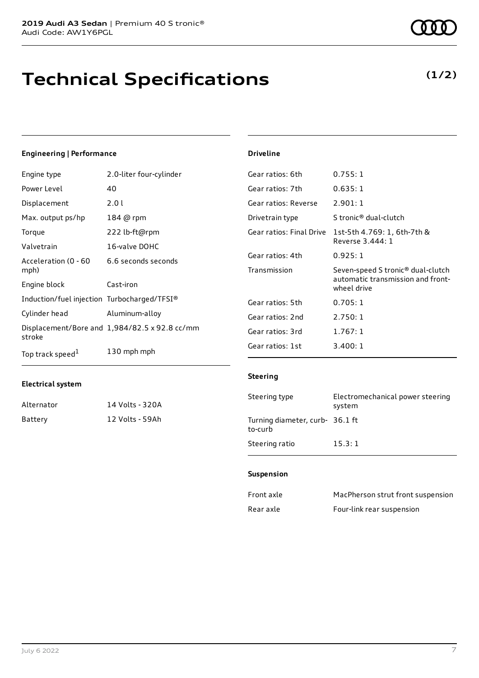### **Technical Specifications**

#### **Engineering | Performance**

| Engine type                                 | 2.0-liter four-cylinder                       | Gear ratios: 6th         | 0.755:1                                          |
|---------------------------------------------|-----------------------------------------------|--------------------------|--------------------------------------------------|
| Power Level                                 | 40                                            | Gear ratios: 7th         | 0.635:1                                          |
| Displacement                                | 2.01                                          | Gear ratios: Reverse     | 2.901:1                                          |
| Max. output ps/hp                           | 184 @ rpm                                     | Drivetrain type          | S tronic <sup>®</sup> dual-clutch                |
| Torque                                      | 222 lb-ft@rpm                                 | Gear ratios: Final Drive | 1st-5th 4.769: 1, 6th-7th &                      |
| Valvetrain                                  | 16-valve DOHC                                 |                          | Reverse 3.444: 1                                 |
| Acceleration (0 - 60                        | 6.6 seconds seconds                           | Gear ratios: 4th         | 0.925:1                                          |
| mph)                                        |                                               | Transmission             | Seven-speed S tronic <sup>®</sup> dual-clutch    |
| Engine block                                | Cast-iron                                     |                          | automatic transmission and front-<br>wheel drive |
| Induction/fuel injection Turbocharged/TFSI® |                                               | Gear ratios: 5th         | 0.705:1                                          |
| Cylinder head                               | Aluminum-alloy                                | Gear ratios: 2nd         | 2.750:1                                          |
| stroke                                      | Displacement/Bore and 1,984/82.5 x 92.8 cc/mm | Gear ratios: 3rd         | 1.767:1                                          |
| Top track speed <sup>1</sup>                | 130 mph mph                                   | Gear ratios: 1st         | 3.400:1                                          |

### **Electrical system**

| Alternator | 14 Volts - 320A |
|------------|-----------------|
| Battery    | 12 Volts - 59Ah |

#### **Driveline**

| uedi idlius. Filidi Diive | 15 0 11 1 4 . / 0 9 . 1 , 0 11 1 / 11 1 0 1<br>Reverse 3.444: 1                       |
|---------------------------|---------------------------------------------------------------------------------------|
| Gear ratios: 4th          | 0.925:1                                                                               |
| Transmission              | Seven-speed S tronic® dual-clutch<br>automatic transmission and front-<br>wheel drive |
| Gear ratios: 5th          | 0.705:1                                                                               |
| Gear ratios: 2nd          | 2.750:1                                                                               |
| Gear ratios: 3rd          | 1.767:1                                                                               |
| Gear ratios: 1st          | 3.400:1                                                                               |
| <b>Steering</b>           |                                                                                       |
| Steering type             | Electromechanical power steering<br>system                                            |

### **Suspension**

to-curb

Turning diameter, curb-36.1 ft

Steering ratio 15.3:1

| Front axle | MacPherson strut front suspension |
|------------|-----------------------------------|
| Rear axle  | Four-link rear suspension         |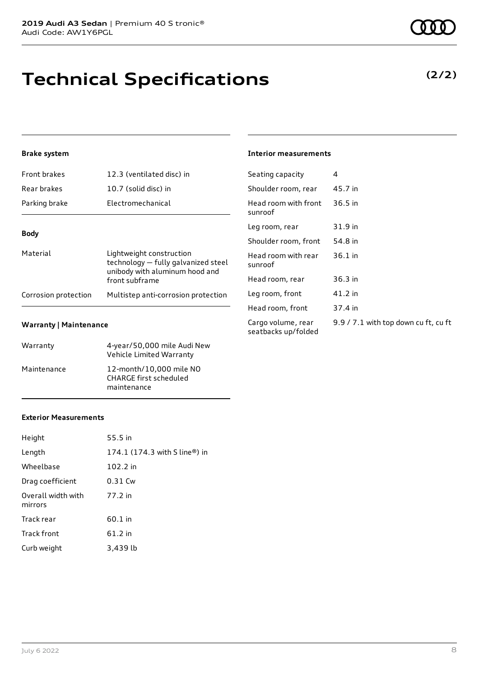### **Technical Specifications**

### **Brake system**

| <b>Front brakes</b>  | 12.3 (ventilated disc) in                                                                                           |
|----------------------|---------------------------------------------------------------------------------------------------------------------|
| Rear brakes          | 10.7 (solid disc) in                                                                                                |
| Parking brake        | Electromechanical                                                                                                   |
| <b>Body</b>          |                                                                                                                     |
| Material             | Lightweight construction<br>technology - fully galvanized steel<br>unibody with aluminum hood and<br>front subframe |
| Corrosion protection | Multistep anti-corrosion protection                                                                                 |

#### **Warranty | Maintenance**

| Warranty    | 4-year/50,000 mile Audi New<br>Vehicle Limited Warranty                 |
|-------------|-------------------------------------------------------------------------|
| Maintenance | 12-month/10,000 mile NO<br><b>CHARGE first scheduled</b><br>maintenance |

#### **Interior measurements**

| Seating capacity                          | 4                                    |
|-------------------------------------------|--------------------------------------|
| Shoulder room, rear                       | 45.7 in                              |
| Head room with front<br>sunroof           | 36.5 in                              |
| Leg room, rear                            | 31.9 in                              |
| Shoulder room, front                      | 54.8 in                              |
| Head room with rear<br>sunroof            | $36.1$ in                            |
| Head room, rear                           | 36.3 in                              |
| Leg room, front                           | 41.2 in                              |
| Head room, front                          | 37.4 in                              |
| Cargo volume, rear<br>seatbacks up/folded | 9.9 / 7.1 with top down cu ft, cu ft |

#### **Exterior Measurements**

| Height                        | 55.5 in                       |
|-------------------------------|-------------------------------|
| Length                        | 174.1 (174.3 with S line®) in |
| Wheelbase                     | 102.2 in                      |
| Drag coefficient              | 0.31 Cw                       |
| Overall width with<br>mirrors | 77.2 in                       |
| Track rear                    | 60.1 in                       |
| Track front                   | 61.2 in                       |
| Curb weight                   | 3,439 lb                      |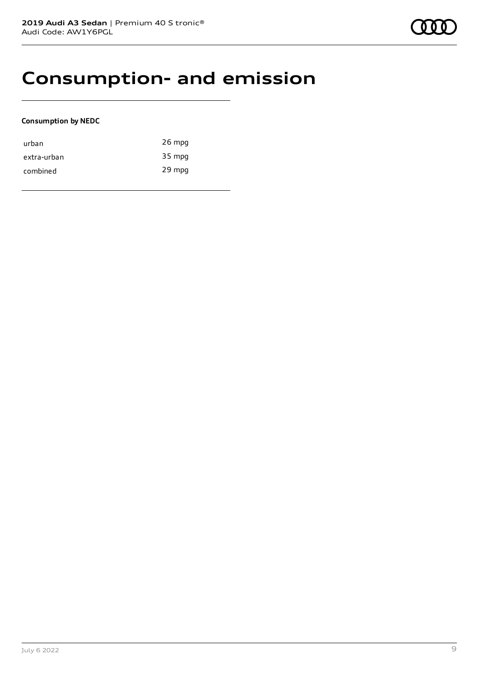### **Consumption- and emission**

### **Consumption by NEDC**

| urban       | 26 mpg |
|-------------|--------|
| extra-urban | 35 mpg |
| combined    | 29 mpg |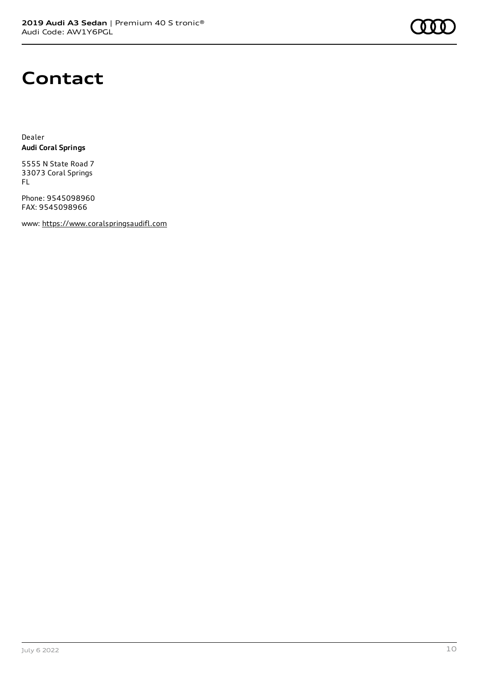

### **Contact**

Dealer **Audi Coral Springs**

5555 N State Road 7 33073 Coral Springs FL

Phone: 9545098960 FAX: 9545098966

www: [https://www.coralspringsaudifl.com](https://www.coralspringsaudifl.com/)